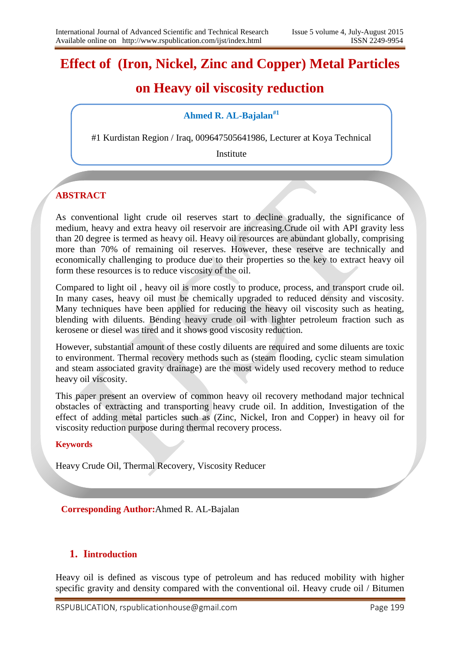# **Effect of (Iron, Nickel, Zinc and Copper) Metal Particles**

# **on Heavy oil viscosity reduction**

## **Ahmed R. AL-Bajalan#1**

#1 Kurdistan Region / Iraq, 009647505641986, Lecturer at Koya Technical

Institute

## **ABSTRACT**

As conventional light crude oil reserves start to decline gradually, the significance of medium, heavy and extra heavy oil reservoir are increasing.Crude oil with API gravity less than 20 degree is termed as heavy oil. Heavy oil resources are abundant globally, comprising more than 70% of remaining oil reserves. However, these reserve are technically and economically challenging to produce due to their properties so the key to extract heavy oil form these resources is to reduce viscosity of the oil.

Compared to light oil , heavy oil is more costly to produce, process, and transport crude oil. In many cases, heavy oil must be chemically upgraded to reduced density and viscosity. Many techniques have been applied for reducing the heavy oil viscosity such as heating, blending with diluents. Bending heavy crude oil with lighter petroleum fraction such as kerosene or diesel was tired and it shows good viscosity reduction.

However, substantial amount of these costly diluents are required and some diluents are toxic to environment. Thermal recovery methods such as (steam flooding, cyclic steam simulation and steam associated gravity drainage) are the most widely used recovery method to reduce heavy oil viscosity.

This paper present an overview of common heavy oil recovery methodand major technical obstacles of extracting and transporting heavy crude oil. In addition, Investigation of the effect of adding metal particles such as (Zinc, Nickel, Iron and Copper) in heavy oil for viscosity reduction purpose during thermal recovery process.

#### **Keywords**

Heavy Crude Oil, Thermal Recovery, Viscosity Reducer

**Corresponding Author:**Ahmed R. AL-Bajalan

#### **1. Iintroduction**

Heavy oil is defined as viscous type of petroleum and has reduced mobility with higher specific gravity and density compared with the conventional oil. Heavy crude oil / Bitumen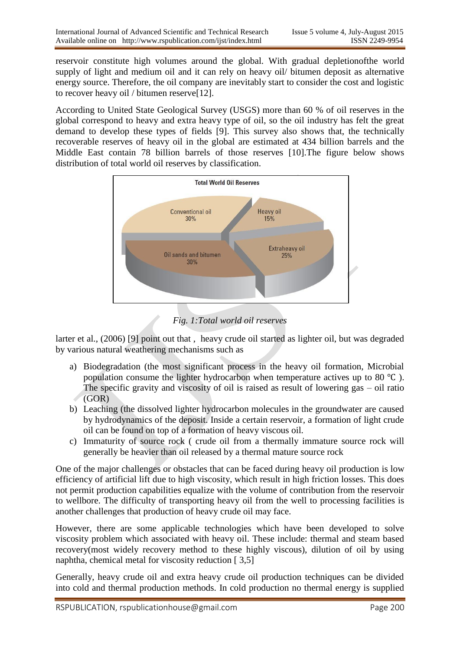reservoir constitute high volumes around the global. With gradual depletionofthe world supply of light and medium oil and it can rely on heavy oil/ bitumen deposit as alternative energy source. Therefore, the oil company are inevitably start to consider the cost and logistic to recover heavy oil / bitumen reserve[12].

According to United State Geological Survey (USGS) more than 60 % of oil reserves in the global correspond to heavy and extra heavy type of oil, so the oil industry has felt the great demand to develop these types of fields [9]. This survey also shows that, the technically recoverable reserves of heavy oil in the global are estimated at 434 billion barrels and the Middle East contain 78 billion barrels of those reserves [10].The figure below shows distribution of total world oil reserves by classification.



## *Fig. 1:Total world oil reserves*

larter et al., (2006) [9] point out that , heavy crude oil started as lighter oil, but was degraded by various natural weathering mechanisms such as

- a) Biodegradation (the most significant process in the heavy oil formation, Microbial population consume the lighter hydrocarbon when temperature actives up to 80 ℃ ). The specific gravity and viscosity of oil is raised as result of lowering gas – oil ratio (GOR)
- b) Leaching (the dissolved lighter hydrocarbon molecules in the groundwater are caused by hydrodynamics of the deposit. Inside a certain reservoir, a formation of light crude oil can be found on top of a formation of heavy viscous oil.
- c) Immaturity of source rock ( crude oil from a thermally immature source rock will generally be heavier than oil released by a thermal mature source rock

One of the major challenges or obstacles that can be faced during heavy oil production is low efficiency of artificial lift due to high viscosity, which result in high friction losses. This does not permit production capabilities equalize with the volume of contribution from the reservoir to wellbore. The difficulty of transporting heavy oil from the well to processing facilities is another challenges that production of heavy crude oil may face.

However, there are some applicable technologies which have been developed to solve viscosity problem which associated with heavy oil. These include: thermal and steam based recovery(most widely recovery method to these highly viscous), dilution of oil by using naphtha, chemical metal for viscosity reduction [ 3,5]

Generally, heavy crude oil and extra heavy crude oil production techniques can be divided into cold and thermal production methods. In cold production no thermal energy is supplied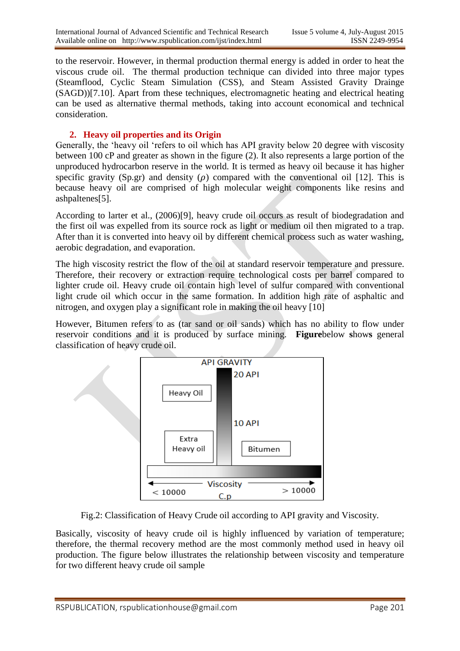to the reservoir. However, in thermal production thermal energy is added in order to heat the viscous crude oil. The thermal production technique can divided into three major types (Steamflood, Cyclic Steam Simulation (CSS), and Steam Assisted Gravity Drainge (SAGD))[7.10]. Apart from these techniques, electromagnetic heating and electrical heating can be used as alternative thermal methods, taking into account economical and technical consideration.

## **2. Heavy oil properties and its Origin**

Generally, the "heavy oil "refers to oil which has API gravity below 20 degree with viscosity between 100 cP and greater as shown in the figure (2). It also represents a large portion of the unproduced hydrocarbon reserve in the world. It is termed as heavy oil because it has higher specific gravity (Sp.gr) and density ( $\rho$ ) compared with the conventional oil [12]. This is because heavy oil are comprised of high molecular weight components like resins and ashpaltenes[5].

According to larter et al., (2006)[9], heavy crude oil occurs as result of biodegradation and the first oil was expelled from its source rock as light or medium oil then migrated to a trap. After than it is converted into heavy oil by different chemical process such as water washing, aerobic degradation, and evaporation.

The high viscosity restrict the flow of the oil at standard reservoir temperature and pressure. Therefore, their recovery or extraction require technological costs per barrel compared to lighter crude oil. Heavy crude oil contain high level of sulfur compared with conventional light crude oil which occur in the same formation. In addition high rate of asphaltic and nitrogen, and oxygen play a significant role in making the oil heavy [10]

However, Bitumen refers to as (tar sand or oil sands) which has no ability to flow under reservoir conditions and it is produced by surface mining. **Figure**below **s**how**s** general classification of heavy crude oil.



Fig.2: Classification of Heavy Crude oil according to API gravity and Viscosity.

Basically, viscosity of heavy crude oil is highly influenced by variation of temperature; therefore, the thermal recovery method are the most commonly method used in heavy oil production. The figure below illustrates the relationship between viscosity and temperature for two different heavy crude oil sample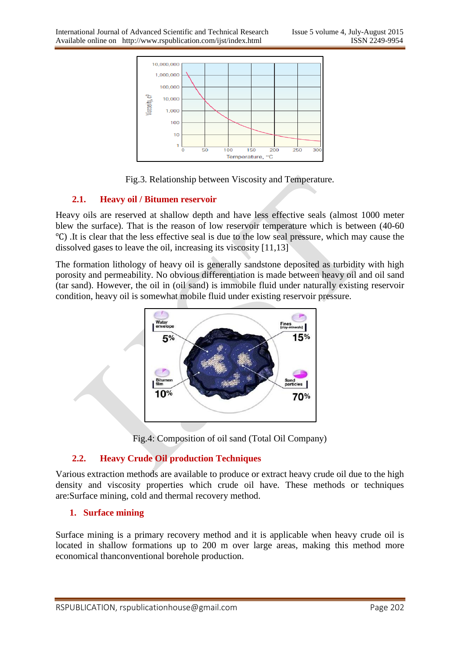

Fig.3. Relationship between Viscosity and Temperature.

#### **2.1. Heavy oil / Bitumen reservoir**

Heavy oils are reserved at shallow depth and have less effective seals (almost 1000 meter blew the surface). That is the reason of low reservoir temperature which is between (40-60 ℃) .It is clear that the less effective seal is due to the low seal pressure, which may cause the dissolved gases to leave the oil, increasing its viscosity [11,13]

The formation lithology of heavy oil is generally sandstone deposited as turbidity with high porosity and permeability. No obvious differentiation is made between heavy oil and oil sand (tar sand). However, the oil in (oil sand) is immobile fluid under naturally existing reservoir condition, heavy oil is somewhat mobile fluid under existing reservoir pressure.



Fig.4: Composition of oil sand (Total Oil Company)

## **2.2. Heavy Crude Oil production Techniques**

Various extraction methods are available to produce or extract heavy crude oil due to the high density and viscosity properties which crude oil have. These methods or techniques are:Surface mining, cold and thermal recovery method.

## **1. Surface mining**

Surface mining is a primary recovery method and it is applicable when heavy crude oil is located in shallow formations up to 200 m over large areas, making this method more economical thanconventional borehole production.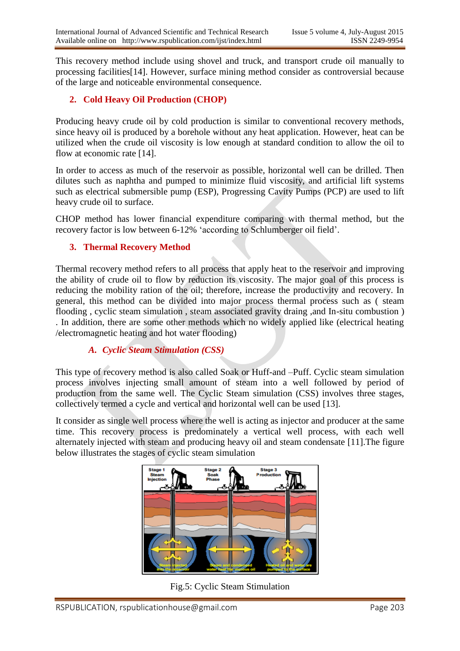This recovery method include using shovel and truck, and transport crude oil manually to processing facilities[14]. However, surface mining method consider as controversial because of the large and noticeable environmental consequence.

## **2. Cold Heavy Oil Production (CHOP)**

Producing heavy crude oil by cold production is similar to conventional recovery methods, since heavy oil is produced by a borehole without any heat application. However, heat can be utilized when the crude oil viscosity is low enough at standard condition to allow the oil to flow at economic rate [14].

In order to access as much of the reservoir as possible, horizontal well can be drilled. Then dilutes such as naphtha and pumped to minimize fluid viscosity, and artificial lift systems such as electrical submersible pump (ESP), Progressing Cavity Pumps (PCP) are used to lift heavy crude oil to surface.

CHOP method has lower financial expenditure comparing with thermal method, but the recovery factor is low between 6-12% "according to Schlumberger oil field".

#### **3. Thermal Recovery Method**

Thermal recovery method refers to all process that apply heat to the reservoir and improving the ability of crude oil to flow by reduction its viscosity. The major goal of this process is reducing the mobility ration of the oil; therefore, increase the productivity and recovery. In general, this method can be divided into major process thermal process such as ( steam flooding , cyclic steam simulation , steam associated gravity draing ,and In-situ combustion ) . In addition, there are some other methods which no widely applied like (electrical heating /electromagnetic heating and hot water flooding)

#### *A. Cyclic Steam Stimulation (CSS)*

This type of recovery method is also called Soak or Huff-and –Puff. Cyclic steam simulation process involves injecting small amount of steam into a well followed by period of production from the same well. The Cyclic Steam simulation (CSS) involves three stages, collectively termed a cycle and vertical and horizontal well can be used [13].

It consider as single well process where the well is acting as injector and producer at the same time. This recovery process is predominately a vertical well process, with each well alternately injected with steam and producing heavy oil and steam condensate [11].The figure below illustrates the stages of cyclic steam simulation



Fig.5: Cyclic Steam Stimulation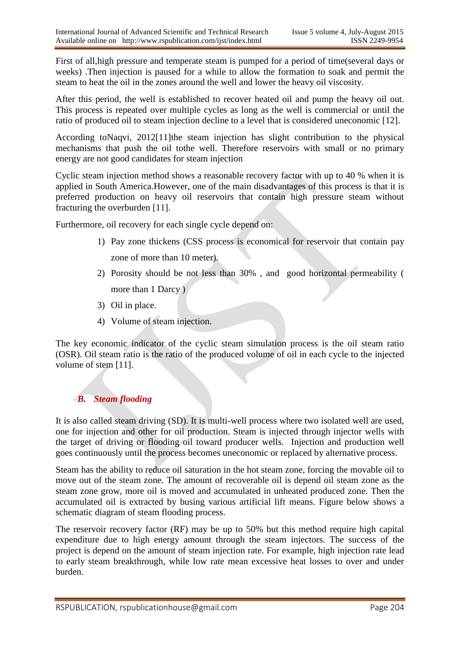First of all,high pressure and temperate steam is pumped for a period of time(several days or weeks) .Then injection is paused for a while to allow the formation to soak and permit the steam to heat the oil in the zones around the well and lower the heavy oil viscosity.

After this period, the well is established to recover heated oil and pump the heavy oil out. This process is repeated over multiple cycles as long as the well is commercial or until the ratio of produced oil to steam injection decline to a level that is considered uneconomic [12].

According toNaqvi, 2012[11]the steam injection has slight contribution to the physical mechanisms that push the oil tothe well. Therefore reservoirs with small or no primary energy are not good candidates for steam injection

Cyclic steam injection method shows a reasonable recovery factor with up to 40 % when it is applied in South America.However, one of the main disadvantages of this process is that it is preferred production on heavy oil reservoirs that contain high pressure steam without fracturing the overburden [11].

Furthermore, oil recovery for each single cycle depend on:

- 1) Pay zone thickens (CSS process is economical for reservoir that contain pay zone of more than 10 meter).
- 2) Porosity should be not less than 30% , and good horizontal permeability ( more than 1 Darcy)
- 3) Oil in place.
- 4) Volume of steam injection.

The key economic indicator of the cyclic steam simulation process is the oil steam ratio (OSR). Oil steam ratio is the ratio of the produced volume of oil in each cycle to the injected volume of stem [11].

## *B. Steam flooding*

It is also called steam driving (SD). It is multi-well process where two isolated well are used, one for injection and other for oil production. Steam is injected through injector wells with the target of driving or flooding oil toward producer wells. Injection and production well goes continuously until the process becomes uneconomic or replaced by alternative process.

Steam has the ability to reduce oil saturation in the hot steam zone, forcing the movable oil to move out of the steam zone. The amount of recoverable oil is depend oil steam zone as the steam zone grow, more oil is moved and accumulated in unheated produced zone. Then the accumulated oil is extracted by busing various artificial lift means. Figure below shows a schematic diagram of steam flooding process.

The reservoir recovery factor (RF) may be up to 50% but this method require high capital expenditure due to high energy amount through the steam injectors. The success of the project is depend on the amount of steam injection rate. For example, high injection rate lead to early steam breakthrough, while low rate mean excessive heat losses to over and under burden.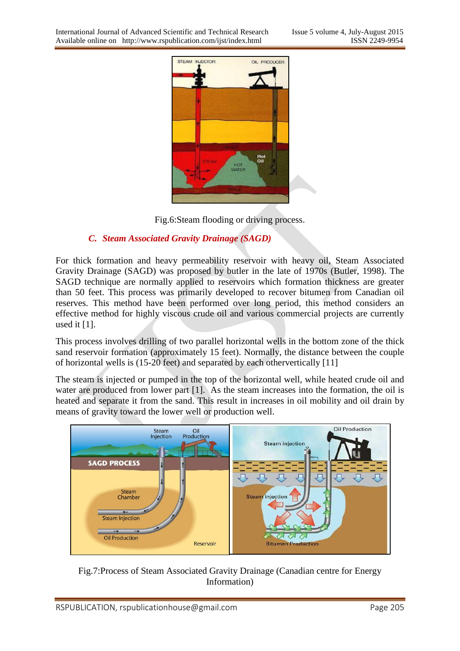

Fig.6:Steam flooding or driving process.

## *C. Steam Associated Gravity Drainage (SAGD)*

For thick formation and heavy permeability reservoir with heavy oil, Steam Associated Gravity Drainage (SAGD) was proposed by butler in the late of 1970s (Butler, 1998). The SAGD technique are normally applied to reservoirs which formation thickness are greater than 50 feet. This process was primarily developed to recover bitumen from Canadian oil reserves. This method have been performed over long period, this method considers an effective method for highly viscous crude oil and various commercial projects are currently used it  $[1]$ .

This process involves drilling of two parallel horizontal wells in the bottom zone of the thick sand reservoir formation (approximately 15 feet). Normally, the distance between the couple of horizontal wells is (15-20 feet) and separated by each othervertically [11]

The steam is injected or pumped in the top of the horizontal well, while heated crude oil and water are produced from lower part [1]. As the steam increases into the formation, the oil is heated and separate it from the sand. This result in increases in oil mobility and oil drain by means of gravity toward the lower well or production well.



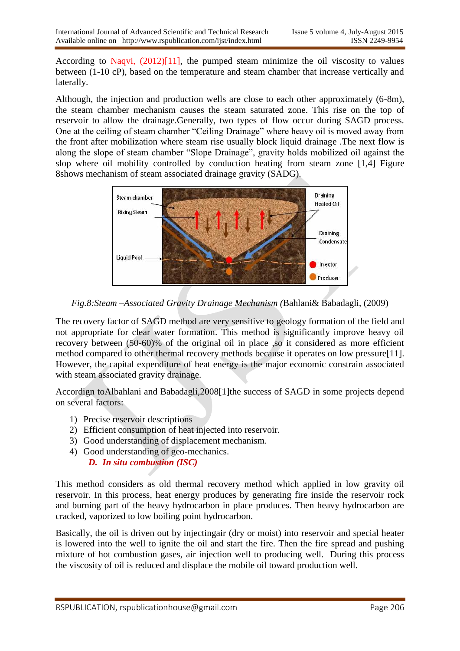According to Naqvi, (2012)[11], the pumped steam minimize the oil viscosity to values between (1-10 cP), based on the temperature and steam chamber that increase vertically and laterally.

Although, the injection and production wells are close to each other approximately (6-8m), the steam chamber mechanism causes the steam saturated zone. This rise on the top of reservoir to allow the drainage.Generally, two types of flow occur during SAGD process. One at the ceiling of steam chamber "Ceiling Drainage" where heavy oil is moved away from the front after mobilization where steam rise usually block liquid drainage .The next flow is along the slope of steam chamber "Slope Drainage", gravity holds mobilized oil against the slop where oil mobility controlled by conduction heating from steam zone [1,4] Figure 8shows mechanism of steam associated drainage gravity (SADG).



*Fig.8:Steam –Associated Gravity Drainage Mechanism (*Bahlani& Babadagli, (2009)

The recovery factor of SAGD method are very sensitive to geology formation of the field and not appropriate for clear water formation. This method is significantly improve heavy oil recovery between (50-60)% of the original oil in place ,so it considered as more efficient method compared to other thermal recovery methods because it operates on low pressure[11]. However, the capital expenditure of heat energy is the major economic constrain associated with steam associated gravity drainage.

Accordign toAlbahlani and Babadagli,2008[1]the success of SAGD in some projects depend on several factors:

- 1) Precise reservoir descriptions
- 2) Efficient consumption of heat injected into reservoir.
- 3) Good understanding of displacement mechanism.
- 4) Good understanding of geo-mechanics. *D. In situ combustion (ISC)*

This method considers as old thermal recovery method which applied in low gravity oil reservoir. In this process, heat energy produces by generating fire inside the reservoir rock and burning part of the heavy hydrocarbon in place produces. Then heavy hydrocarbon are cracked, vaporized to low boiling point hydrocarbon.

Basically, the oil is driven out by injectingair (dry or moist) into reservoir and special heater is lowered into the well to ignite the oil and start the fire. Then the fire spread and pushing mixture of hot combustion gases, air injection well to producing well. During this process the viscosity of oil is reduced and displace the mobile oil toward production well.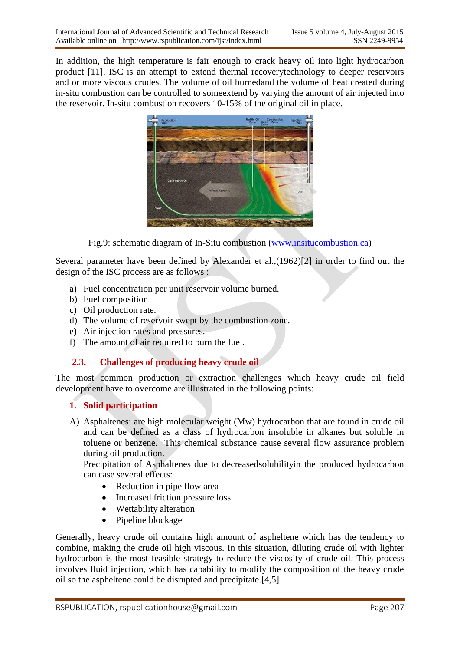In addition, the high temperature is fair enough to crack heavy oil into light hydrocarbon product [11]. ISC is an attempt to extend thermal recoverytechnology to deeper reservoirs and or more viscous crudes. The volume of oil burnedand the volume of heat created during in-situ combustion can be controlled to someextend by varying the amount of air injected into the reservoir. In-situ combustion recovers 10-15% of the original oil in place.



Fig.9: schematic diagram of In-Situ combustion [\(www.insitucombustion.ca\)](http://www.insitucombustion.ca/)

Several parameter have been defined by Alexander et al.,(1962)[2] in order to find out the design of the ISC process are as follows :

- a) Fuel concentration per unit reservoir volume burned.
- b) Fuel composition
- c) Oil production rate.
- d) The volume of reservoir swept by the combustion zone.
- e) Air injection rates and pressures.
- f) The amount of air required to burn the fuel.

## **2.3. Challenges of producing heavy crude oil**

The most common production or extraction challenges which heavy crude oil field development have to overcome are illustrated in the following points:

#### **1. Solid participation**

A) Asphaltenes: are high molecular weight (Mw) hydrocarbon that are found in crude oil and can be defined as a class of hydrocarbon insoluble in alkanes but soluble in toluene or benzene. This chemical substance cause several flow assurance problem during oil production.

Precipitation of Asphaltenes due to decreasedsolubilityin the produced hydrocarbon can case several effects:

- Reduction in pipe flow area
- Increased friction pressure loss
- Wettability alteration
- Pipeline blockage

Generally, heavy crude oil contains high amount of aspheltene which has the tendency to combine, making the crude oil high viscous. In this situation, diluting crude oil with lighter hydrocarbon is the most feasible strategy to reduce the viscosity of crude oil. This process involves fluid injection, which has capability to modify the composition of the heavy crude oil so the aspheltene could be disrupted and precipitate.[4,5]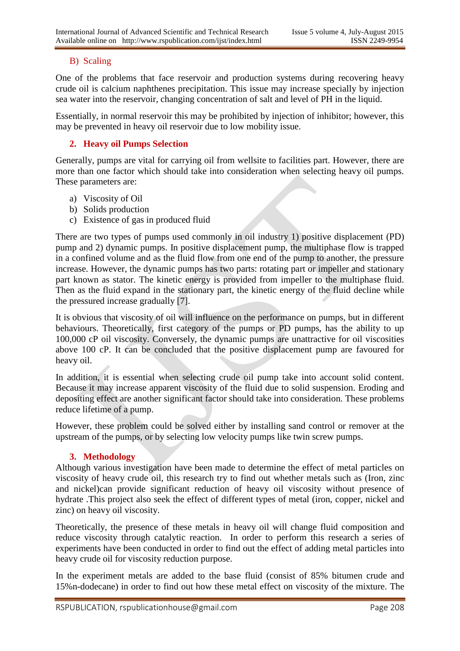#### B) Scaling

One of the problems that face reservoir and production systems during recovering heavy crude oil is calcium naphthenes precipitation. This issue may increase specially by injection sea water into the reservoir, changing concentration of salt and level of PH in the liquid.

Essentially, in normal reservoir this may be prohibited by injection of inhibitor; however, this may be prevented in heavy oil reservoir due to low mobility issue.

## **2. Heavy oil Pumps Selection**

Generally, pumps are vital for carrying oil from wellsite to facilities part. However, there are more than one factor which should take into consideration when selecting heavy oil pumps. These parameters are:

- a) Viscosity of Oil
- b) Solids production
- c) Existence of gas in produced fluid

There are two types of pumps used commonly in oil industry 1) positive displacement (PD) pump and 2) dynamic pumps. In positive displacement pump, the multiphase flow is trapped in a confined volume and as the fluid flow from one end of the pump to another, the pressure increase. However, the dynamic pumps has two parts: rotating part or impeller and stationary part known as stator. The kinetic energy is provided from impeller to the multiphase fluid. Then as the fluid expand in the stationary part, the kinetic energy of the fluid decline while the pressured increase gradually [7].

It is obvious that viscosity of oil will influence on the performance on pumps, but in different behaviours. Theoretically, first category of the pumps or PD pumps, has the ability to up 100,000 cP oil viscosity. Conversely, the dynamic pumps are unattractive for oil viscosities above 100 cP. It can be concluded that the positive displacement pump are favoured for heavy oil.

In addition, it is essential when selecting crude oil pump take into account solid content. Because it may increase apparent viscosity of the fluid due to solid suspension. Eroding and depositing effect are another significant factor should take into consideration. These problems reduce lifetime of a pump.

However, these problem could be solved either by installing sand control or remover at the upstream of the pumps, or by selecting low velocity pumps like twin screw pumps.

#### **3. Methodology**

Although various investigation have been made to determine the effect of metal particles on viscosity of heavy crude oil, this research try to find out whether metals such as (Iron, zinc and nickel)can provide significant reduction of heavy oil viscosity without presence of hydrate .This project also seek the effect of different types of metal (iron, copper, nickel and zinc) on heavy oil viscosity.

Theoretically, the presence of these metals in heavy oil will change fluid composition and reduce viscosity through catalytic reaction. In order to perform this research a series of experiments have been conducted in order to find out the effect of adding metal particles into heavy crude oil for viscosity reduction purpose.

In the experiment metals are added to the base fluid (consist of 85% bitumen crude and 15%n-dodecane) in order to find out how these metal effect on viscosity of the mixture. The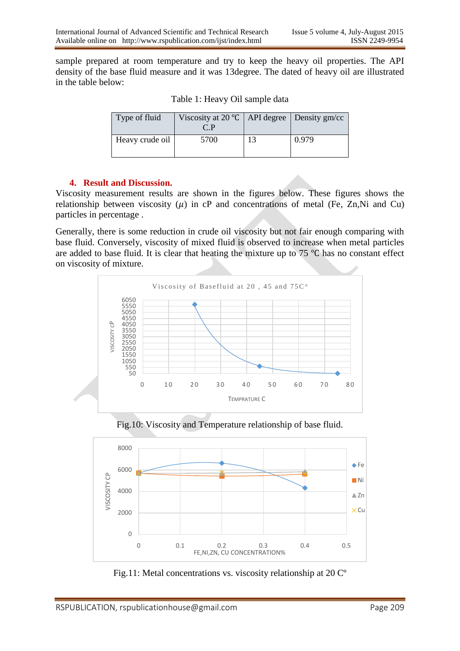sample prepared at room temperature and try to keep the heavy oil properties. The API density of the base fluid measure and it was 13degree. The dated of heavy oil are illustrated in the table below:

| Type of fluid   | Viscosity at 20 $\degree$ C   API degree   Density gm/cc<br>$\cap$ P |    |       |
|-----------------|----------------------------------------------------------------------|----|-------|
| Heavy crude oil | 5700                                                                 | 13 | 0.979 |

Table 1: Heavy Oil sample data

#### **4. Result and Discussion.**

Viscosity measurement results are shown in the figures below. These figures shows the relationship between viscosity  $(\mu)$  in cP and concentrations of metal (Fe, Zn,Ni and Cu) particles in percentage .

Generally, there is some reduction in crude oil viscosity but not fair enough comparing with base fluid. Conversely, viscosity of mixed fluid is observed to increase when metal particles are added to base fluid. It is clear that heating the mixture up to 75 ℃ has no constant effect on viscosity of mixture.







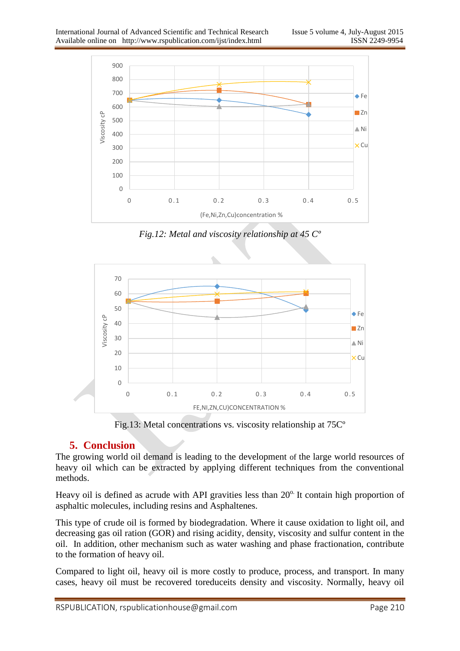

*Fig.12: Metal and viscosity relationship at 45 Cº*



Fig.13: Metal concentrations vs. viscosity relationship at 75Cº

## **5. Conclusion**

The growing world oil demand is leading to the development of the large world resources of heavy oil which can be extracted by applying different techniques from the conventional methods.

Heavy oil is defined as acrude with API gravities less than  $20^\circ$ . It contain high proportion of asphaltic molecules, including resins and Asphaltenes.

This type of crude oil is formed by biodegradation. Where it cause oxidation to light oil, and decreasing gas oil ration (GOR) and rising acidity, density, viscosity and sulfur content in the oil. In addition, other mechanism such as water washing and phase fractionation, contribute to the formation of heavy oil.

Compared to light oil, heavy oil is more costly to produce, process, and transport. In many cases, heavy oil must be recovered toreduceits density and viscosity. Normally, heavy oil